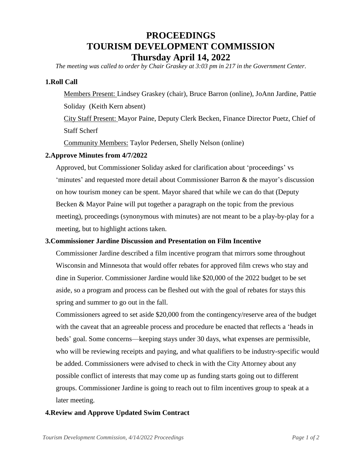# **PROCEEDINGS TOURISM DEVELOPMENT COMMISSION Thursday April 14, 2022**

*The meeting was called to order by Chair Graskey at 3:03 pm in 217 in the Government Center.*

## **1.Roll Call**

Members Present: Lindsey Graskey (chair), Bruce Barron (online), JoAnn Jardine, Pattie Soliday (Keith Kern absent)

City Staff Present: Mayor Paine, Deputy Clerk Becken, Finance Director Puetz, Chief of Staff Scherf

Community Members: Taylor Pedersen, Shelly Nelson (online)

## **2.Approve Minutes from 4/7/2022**

Approved, but Commissioner Soliday asked for clarification about 'proceedings' vs 'minutes' and requested more detail about Commissioner Barron & the mayor's discussion on how tourism money can be spent. Mayor shared that while we can do that (Deputy Becken & Mayor Paine will put together a paragraph on the topic from the previous meeting), proceedings (synonymous with minutes) are not meant to be a play-by-play for a meeting, but to highlight actions taken.

## **3.Commissioner Jardine Discussion and Presentation on Film Incentive**

Commissioner Jardine described a film incentive program that mirrors some throughout Wisconsin and Minnesota that would offer rebates for approved film crews who stay and dine in Superior. Commissioner Jardine would like \$20,000 of the 2022 budget to be set aside, so a program and process can be fleshed out with the goal of rebates for stays this spring and summer to go out in the fall.

Commissioners agreed to set aside \$20,000 from the contingency/reserve area of the budget with the caveat that an agreeable process and procedure be enacted that reflects a 'heads in beds' goal. Some concerns—keeping stays under 30 days, what expenses are permissible, who will be reviewing receipts and paying, and what qualifiers to be industry-specific would be added. Commissioners were advised to check in with the City Attorney about any possible conflict of interests that may come up as funding starts going out to different groups. Commissioner Jardine is going to reach out to film incentives group to speak at a later meeting.

## **4.Review and Approve Updated Swim Contract**